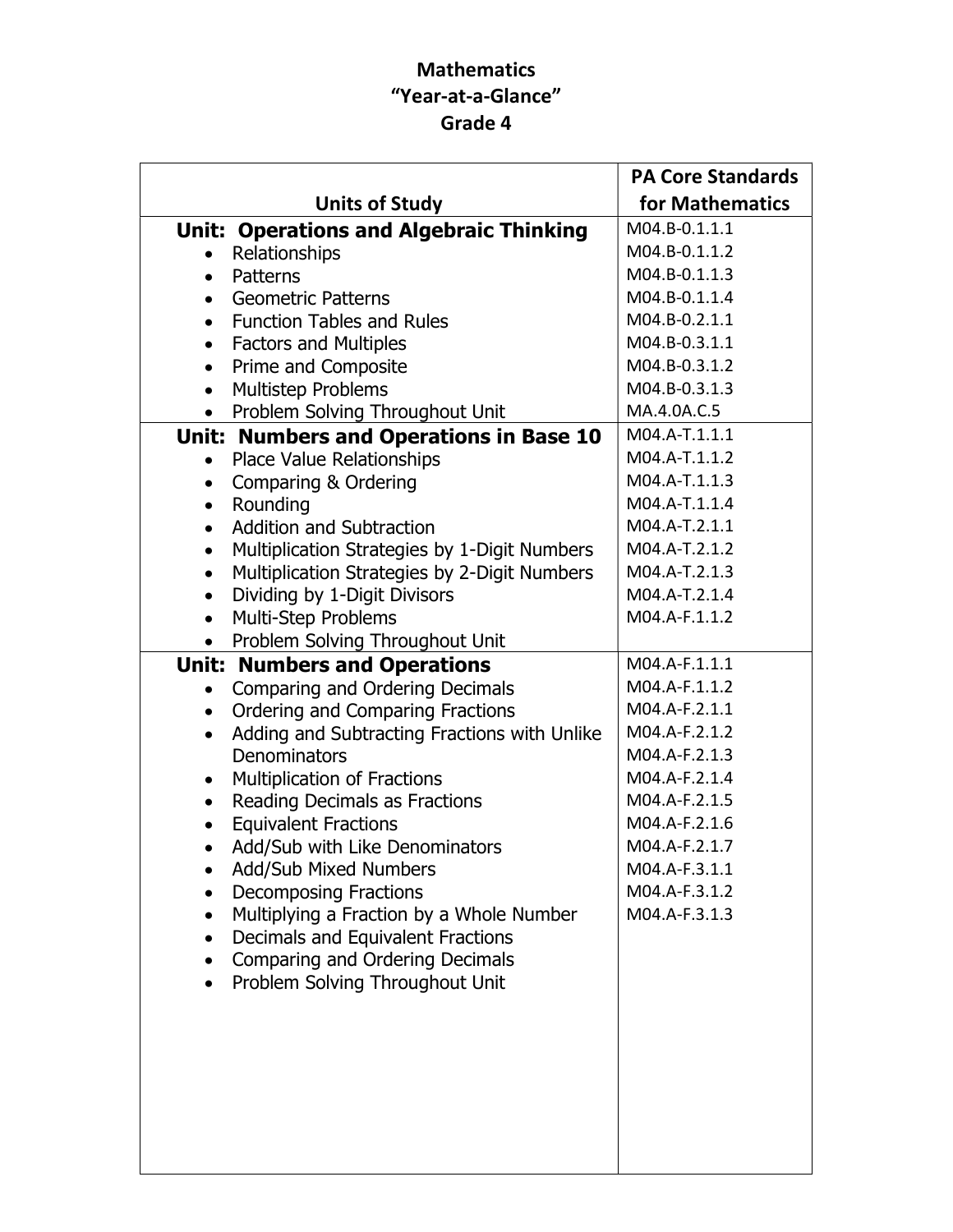## Mathematics "Year-at-a-Glance" Grade 4

|                                                           | <b>PA Core Standards</b> |
|-----------------------------------------------------------|--------------------------|
| <b>Units of Study</b>                                     | for Mathematics          |
| <b>Unit: Operations and Algebraic Thinking</b>            | M04.B-0.1.1.1            |
| Relationships                                             | M04.B-0.1.1.2            |
| Patterns<br>$\bullet$                                     | M04.B-0.1.1.3            |
| <b>Geometric Patterns</b><br>$\bullet$                    | M04.B-0.1.1.4            |
| <b>Function Tables and Rules</b><br>$\bullet$             | M04.B-0.2.1.1            |
| <b>Factors and Multiples</b><br>$\bullet$                 | M04.B-0.3.1.1            |
| Prime and Composite<br>$\bullet$                          | M04.B-0.3.1.2            |
| Multistep Problems<br>$\bullet$                           | M04.B-0.3.1.3            |
| Problem Solving Throughout Unit<br>$\bullet$              | MA.4.0A.C.5              |
| Unit: Numbers and Operations in Base 10                   | M04.A-T.1.1.1            |
| Place Value Relationships<br>$\bullet$                    | M04.A-T.1.1.2            |
| Comparing & Ordering<br>$\bullet$                         | M04.A-T.1.1.3            |
| Rounding<br>$\bullet$                                     | M04.A-T.1.1.4            |
| <b>Addition and Subtraction</b><br>$\bullet$              | M04.A-T.2.1.1            |
| Multiplication Strategies by 1-Digit Numbers<br>$\bullet$ | M04.A-T.2.1.2            |
| Multiplication Strategies by 2-Digit Numbers<br>$\bullet$ | M04.A-T.2.1.3            |
| Dividing by 1-Digit Divisors<br>$\bullet$                 | M04.A-T.2.1.4            |
| Multi-Step Problems<br>$\bullet$                          | M04.A-F.1.1.2            |
| Problem Solving Throughout Unit<br>$\bullet$              |                          |
| <b>Unit: Numbers and Operations</b>                       | M04.A-F.1.1.1            |
| Comparing and Ordering Decimals                           | M04.A-F.1.1.2            |
| Ordering and Comparing Fractions<br>$\bullet$             | M04.A-F.2.1.1            |
| Adding and Subtracting Fractions with Unlike<br>$\bullet$ | M04.A-F.2.1.2            |
| Denominators                                              | M04.A-F.2.1.3            |
| <b>Multiplication of Fractions</b><br>$\bullet$           | M04.A-F.2.1.4            |
| Reading Decimals as Fractions<br>$\bullet$                | M04.A-F.2.1.5            |
| <b>Equivalent Fractions</b><br>$\bullet$                  | M04.A-F.2.1.6            |
| Add/Sub with Like Denominators                            | M04.A-F.2.1.7            |
| <b>Add/Sub Mixed Numbers</b>                              | M04.A-F.3.1.1            |
| <b>Decomposing Fractions</b>                              | M04.A-F.3.1.2            |
| Multiplying a Fraction by a Whole Number                  | M04.A-F.3.1.3            |
| Decimals and Equivalent Fractions<br>$\bullet$            |                          |
| Comparing and Ordering Decimals                           |                          |
| Problem Solving Throughout Unit                           |                          |
|                                                           |                          |
|                                                           |                          |
|                                                           |                          |
|                                                           |                          |
|                                                           |                          |
|                                                           |                          |
|                                                           |                          |
|                                                           |                          |